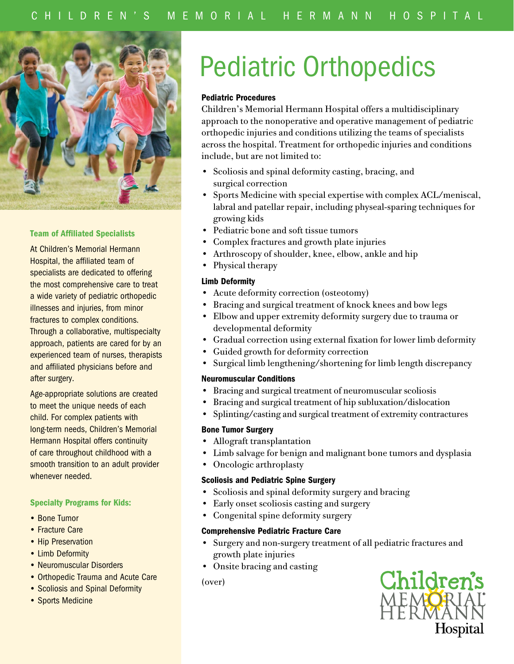

#### Team of Affiliated Specialists

At Children's Memorial Hermann Hospital, the affiliated team of specialists are dedicated to offering the most comprehensive care to treat a wide variety of pediatric orthopedic illnesses and injuries, from minor fractures to complex conditions. Through a collaborative, multispecialty approach, patients are cared for by an experienced team of nurses, therapists and affiliated physicians before and after surgery.

Age-appropriate solutions are created to meet the unique needs of each child. For complex patients with long-term needs, Children's Memorial Hermann Hospital offers continuity of care throughout childhood with a smooth transition to an adult provider whenever needed.

#### Specialty Programs for Kids:

- Bone Tumor
- Fracture Care
- Hip Preservation
- Limb Deformity
- Neuromuscular Disorders
- Orthopedic Trauma and Acute Care
- Scoliosis and Spinal Deformity
- Sports Medicine

# Pediatric Orthopedics

# Pediatric Procedures

Children's Memorial Hermann Hospital offers a multidisciplinary approach to the nonoperative and operative management of pediatric orthopedic injuries and conditions utilizing the teams of specialists across the hospital. Treatment for orthopedic injuries and conditions include, but are not limited to:

- Scoliosis and spinal deformity casting, bracing, and surgical correction
- Sports Medicine with special expertise with complex ACL/meniscal, labral and patellar repair, including physeal-sparing techniques for growing kids
- Pediatric bone and soft tissue tumors
- Complex fractures and growth plate injuries
- Arthroscopy of shoulder, knee, elbow, ankle and hip
- Physical therapy

# Limb Deformity

- Acute deformity correction (osteotomy)
- Bracing and surgical treatment of knock knees and bow legs
- Elbow and upper extremity deformity surgery due to trauma or developmental deformity
- Gradual correction using external fixation for lower limb deformity
- Guided growth for deformity correction
- Surgical limb lengthening/shortening for limb length discrepancy

#### Neuromuscular Conditions

- Bracing and surgical treatment of neuromuscular scoliosis
- Bracing and surgical treatment of hip subluxation/dislocation
- Splinting/casting and surgical treatment of extremity contractures

#### Bone Tumor Surgery

- Allograft transplantation
- Limb salvage for benign and malignant bone tumors and dysplasia
- Oncologic arthroplasty

#### Scoliosis and Pediatric Spine Surgery

- Scoliosis and spinal deformity surgery and bracing
- Early onset scoliosis casting and surgery
- Congenital spine deformity surgery

#### Comprehensive Pediatric Fracture Care

- Surgery and non-surgery treatment of all pediatric fractures and growth plate injuries
- Onsite bracing and casting

(over)